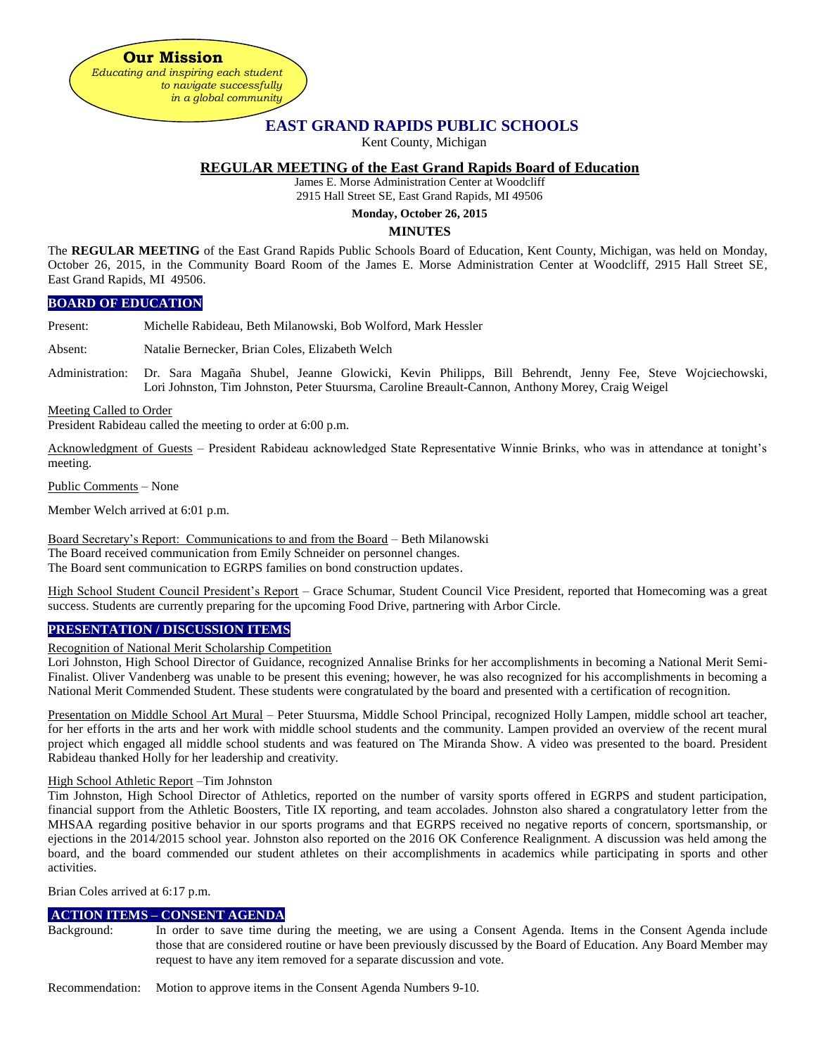**Our Mission** *Educating and inspiring each student to navigate successfully in a global community*

# **EAST GRAND RAPIDS PUBLIC SCHOOLS**

Kent County, Michigan

# **REGULAR MEETING of the East Grand Rapids Board of Education**

James E. Morse Administration Center at Woodcliff

2915 Hall Street SE, East Grand Rapids, MI 49506

# **Monday, October 26, 2015**

#### **MINUTES**

The **REGULAR MEETING** of the East Grand Rapids Public Schools Board of Education, Kent County, Michigan, was held on Monday, October 26, 2015, in the Community Board Room of the James E. Morse Administration Center at Woodcliff, 2915 Hall Street SE, East Grand Rapids, MI 49506.

#### **BOARD OF EDUCATION**

Present: Michelle Rabideau, Beth Milanowski, Bob Wolford, Mark Hessler

Absent: Natalie Bernecker, Brian Coles, Elizabeth Welch

Administration: Dr. Sara Magaña Shubel, Jeanne Glowicki, Kevin Philipps, Bill Behrendt, Jenny Fee, Steve Wojciechowski, Lori Johnston, Tim Johnston, Peter Stuursma, Caroline Breault-Cannon, Anthony Morey, Craig Weigel

Meeting Called to Order

President Rabideau called the meeting to order at 6:00 p.m.

Acknowledgment of Guests – President Rabideau acknowledged State Representative Winnie Brinks, who was in attendance at tonight's meeting.

Public Comments – None

Member Welch arrived at 6:01 p.m.

Board Secretary's Report: Communications to and from the Board – Beth Milanowski

The Board received communication from Emily Schneider on personnel changes.

The Board sent communication to EGRPS families on bond construction updates.

High School Student Council President's Report – Grace Schumar, Student Council Vice President, reported that Homecoming was a great success. Students are currently preparing for the upcoming Food Drive, partnering with Arbor Circle.

## **PRESENTATION / DISCUSSION ITEMS**

Recognition of National Merit Scholarship Competition

Lori Johnston, High School Director of Guidance, recognized Annalise Brinks for her accomplishments in becoming a National Merit Semi-Finalist. Oliver Vandenberg was unable to be present this evening; however, he was also recognized for his accomplishments in becoming a National Merit Commended Student. These students were congratulated by the board and presented with a certification of recognition.

Presentation on Middle School Art Mural – Peter Stuursma, Middle School Principal, recognized Holly Lampen, middle school art teacher, for her efforts in the arts and her work with middle school students and the community. Lampen provided an overview of the recent mural project which engaged all middle school students and was featured on The Miranda Show. A video was presented to the board. President Rabideau thanked Holly for her leadership and creativity.

#### High School Athletic Report –Tim Johnston

Tim Johnston, High School Director of Athletics, reported on the number of varsity sports offered in EGRPS and student participation, financial support from the Athletic Boosters, Title IX reporting, and team accolades. Johnston also shared a congratulatory letter from the MHSAA regarding positive behavior in our sports programs and that EGRPS received no negative reports of concern, sportsmanship, or ejections in the 2014/2015 school year. Johnston also reported on the 2016 OK Conference Realignment. A discussion was held among the board, and the board commended our student athletes on their accomplishments in academics while participating in sports and other activities.

Brian Coles arrived at 6:17 p.m.

## **ACTION ITEMS – CONSENT AGENDA**

Background: In order to save time during the meeting, we are using a Consent Agenda. Items in the Consent Agenda include those that are considered routine or have been previously discussed by the Board of Education. Any Board Member may request to have any item removed for a separate discussion and vote.

Recommendation: Motion to approve items in the Consent Agenda Numbers 9-10.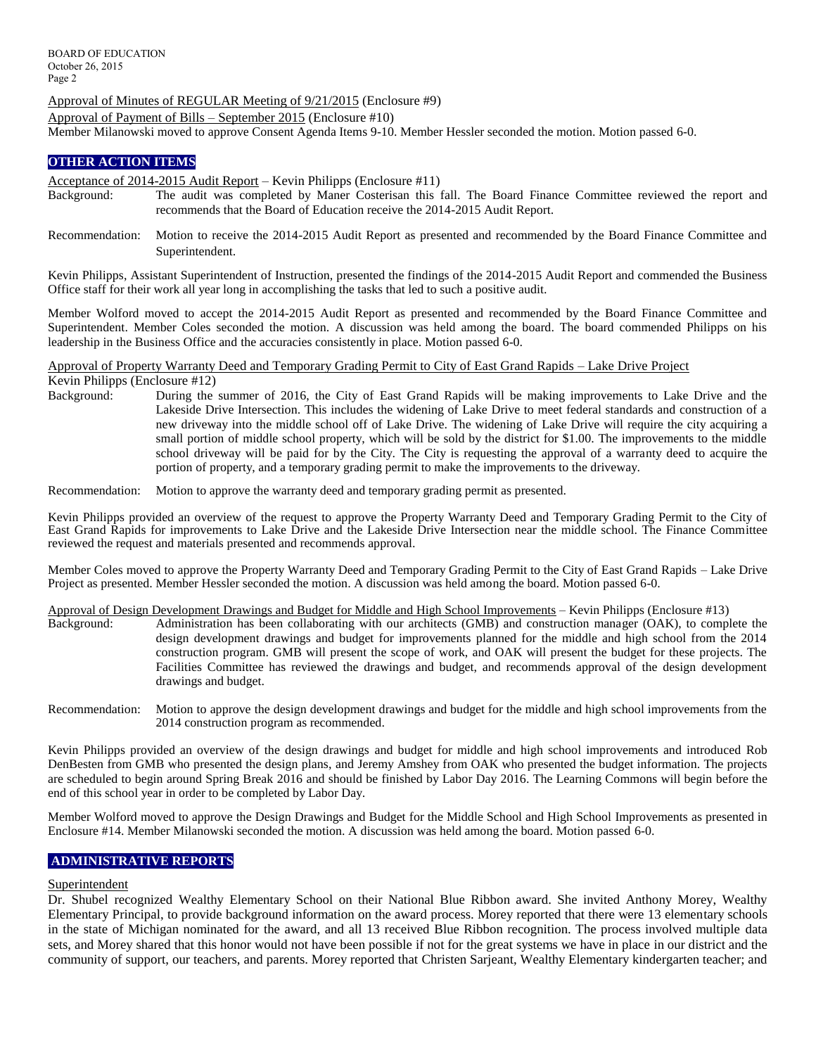Approval of Minutes of REGULAR Meeting of 9/21/2015 (Enclosure #9)

Approval of Payment of Bills – September 2015 (Enclosure #10)

Member Milanowski moved to approve Consent Agenda Items 9-10. Member Hessler seconded the motion. Motion passed 6-0.

## **OTHER ACTION ITEMS**

Acceptance of 2014-2015 Audit Report – Kevin Philipps (Enclosure #11)

- Background: The audit was completed by Maner Costerisan this fall. The Board Finance Committee reviewed the report and recommends that the Board of Education receive the 2014-2015 Audit Report.
- Recommendation: Motion to receive the 2014-2015 Audit Report as presented and recommended by the Board Finance Committee and Superintendent.

Kevin Philipps, Assistant Superintendent of Instruction, presented the findings of the 2014-2015 Audit Report and commended the Business Office staff for their work all year long in accomplishing the tasks that led to such a positive audit.

Member Wolford moved to accept the 2014-2015 Audit Report as presented and recommended by the Board Finance Committee and Superintendent. Member Coles seconded the motion. A discussion was held among the board. The board commended Philipps on his leadership in the Business Office and the accuracies consistently in place. Motion passed 6-0.

Approval of Property Warranty Deed and Temporary Grading Permit to City of East Grand Rapids – Lake Drive Project Kevin Philipps (Enclosure #12)<br>Background: During the

During the summer of 2016, the City of East Grand Rapids will be making improvements to Lake Drive and the Lakeside Drive Intersection. This includes the widening of Lake Drive to meet federal standards and construction of a new driveway into the middle school off of Lake Drive. The widening of Lake Drive will require the city acquiring a small portion of middle school property, which will be sold by the district for \$1.00. The improvements to the middle school driveway will be paid for by the City. The City is requesting the approval of a warranty deed to acquire the portion of property, and a temporary grading permit to make the improvements to the driveway.

Recommendation: Motion to approve the warranty deed and temporary grading permit as presented.

Kevin Philipps provided an overview of the request to approve the Property Warranty Deed and Temporary Grading Permit to the City of East Grand Rapids for improvements to Lake Drive and the Lakeside Drive Intersection near the middle school. The Finance Committee reviewed the request and materials presented and recommends approval.

Member Coles moved to approve the Property Warranty Deed and Temporary Grading Permit to the City of East Grand Rapids – Lake Drive Project as presented. Member Hessler seconded the motion. A discussion was held among the board. Motion passed 6-0.

Approval of Design Development Drawings and Budget for Middle and High School Improvements – Kevin Philipps (Enclosure #13)

- Background: Administration has been collaborating with our architects (GMB) and construction manager (OAK), to complete the design development drawings and budget for improvements planned for the middle and high school from the 2014 construction program. GMB will present the scope of work, and OAK will present the budget for these projects. The Facilities Committee has reviewed the drawings and budget, and recommends approval of the design development drawings and budget.
- Recommendation: Motion to approve the design development drawings and budget for the middle and high school improvements from the 2014 construction program as recommended.

Kevin Philipps provided an overview of the design drawings and budget for middle and high school improvements and introduced Rob DenBesten from GMB who presented the design plans, and Jeremy Amshey from OAK who presented the budget information. The projects are scheduled to begin around Spring Break 2016 and should be finished by Labor Day 2016. The Learning Commons will begin before the end of this school year in order to be completed by Labor Day.

Member Wolford moved to approve the Design Drawings and Budget for the Middle School and High School Improvements as presented in Enclosure #14. Member Milanowski seconded the motion. A discussion was held among the board. Motion passed 6-0.

# **ADMINISTRATIVE REPORTS**

## Superintendent

Dr. Shubel recognized Wealthy Elementary School on their National Blue Ribbon award. She invited Anthony Morey, Wealthy Elementary Principal, to provide background information on the award process. Morey reported that there were 13 elementary schools in the state of Michigan nominated for the award, and all 13 received Blue Ribbon recognition. The process involved multiple data sets, and Morey shared that this honor would not have been possible if not for the great systems we have in place in our district and the community of support, our teachers, and parents. Morey reported that Christen Sarjeant, Wealthy Elementary kindergarten teacher; and